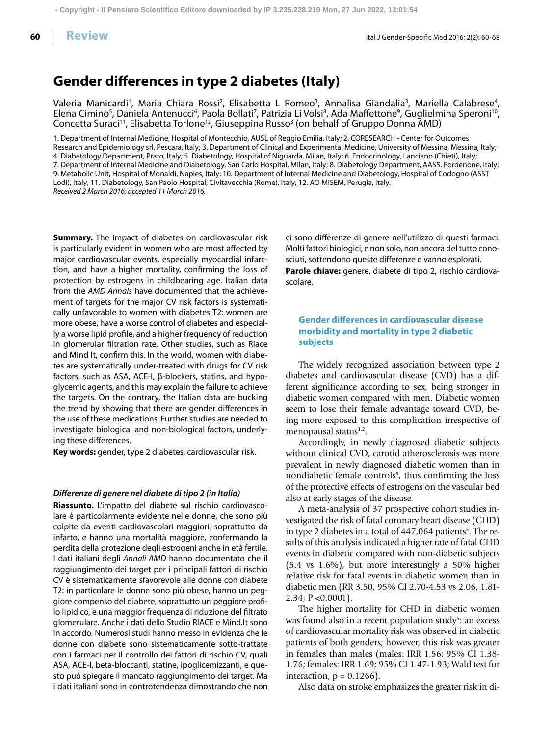**60**

# **Gender differences in type 2 diabetes (Italy)**

Valeria Manicardi<sup>1</sup>, Maria Chiara Rossi<sup>2</sup>, Elisabetta L Romeo<sup>3</sup>, Annalisa Giandalia<sup>3</sup>, Mariella Calabrese<sup>4</sup> Valeria Manicardi<sup>1</sup>, Maria Chiara Rossi<sup>2</sup>, Elisabetta L Romeo<sup>3</sup>, Annalisa Giandalia<sup>3</sup>, Mariella Calabrese<sup>4</sup>,<br>Elena Cimino<sup>5</sup>, Daniela Antenucci<sup>6</sup>, Paola Bollati<sup>7</sup>, Patrizia Li Volsi<sup>8</sup>, Ada Maffettone<sup>9</sup>, Guglielmin Concetta Suraci<sup>11</sup>, Elisabetta Torlone<sup>12</sup>, Giuseppina Russo<sup>3</sup> (on behalf of Gruppo Donna AMD)

1. Department of Internal Medicine, Hospital of Montecchio, AUSL of Reggio Emilia, Italy; 2. CORESEARCH - Center for Outcomes Research and Epidemiology srl, Pescara, Italy; 3. Department of Clinical and Experimental Medicine, University of Messina, Messina, Italy; 4. Diabetology Department, Prato, Italy; 5. Diabetology, Hospital of Niguarda, Milan, Italy; 6. Endocrinology, Lanciano (Chieti), Italy; 7. Department of Internal Medicine and Diabetology, San Carlo Hospital, Milan, Italy; 8. Diabetology Department, AAS5, Pordenone, Italy; 9. Metabolic Unit, Hospital of Monaldi, Naples, Italy; 10. Department of Internal Medicine and Diabetology, Hospital of Codogno (ASST Lodi), Italy; 11. Diabetology, San Paolo Hospital, Civitavecchia (Rome), Italy; 12. AO MISEM, Perugia, Italy. Received 2 March 2016; accepted 11 March 2016.

**Summary.** The impact of diabetes on cardiovascular risk is particularly evident in women who are most affected by major cardiovascular events, especially myocardial infarction, and have a higher mortality, confirming the loss of protection by estrogens in childbearing age. Italian data from the AMD Annals have documented that the achievement of targets for the major CV risk factors is systematically unfavorable to women with diabetes T2: women are more obese, have a worse control of diabetes and especially a worse lipid profile, and a higher frequency of reduction in glomerular filtration rate. Other studies, such as Riace and Mind It, confirm this. In the world, women with diabetes are systematically under-treated with drugs for CV risk factors, such as ASA, ACE-I, β-blockers, statins, and hypoglycemic agents, and this may explain the failure to achieve the targets. On the contrary, the Italian data are bucking the trend by showing that there are gender differences in the use of these medications. Further studies are needed to investigate biological and non-biological factors, underlying these differences.

**Key words:** gender, type 2 diabetes, cardiovascular risk.

## *Diff erenze di genere nel diabete di tipo 2 (in Italia)*

**Riassunto.** L'impatto del diabete sul rischio cardiovascolare è particolarmente evidente nelle donne, che sono più colpite da eventi cardiovascolari maggiori, soprattutto da infarto, e hanno una mortalità maggiore, confermando la perdita della protezione degli estrogeni anche in età fertile. I dati italiani degli Annali AMD hanno documentato che il raggiungimento dei target per i principali fattori di rischio CV è sistematicamente sfavorevole alle donne con diabete T2: in particolare le donne sono più obese, hanno un peggiore compenso del diabete, soprattutto un peggiore profilo lipidico, e una maggior frequenza di riduzione del filtrato glomerulare. Anche i dati dello Studio RIACE e Mind.It sono in accordo. Numerosi studi hanno messo in evidenza che le donne con diabete sono sistematicamente sotto-trattate con i farmaci per il controllo dei fattori di rischio CV, quali ASA, ACE-I, beta-bloccanti, statine, ipoglicemizzanti, e questo può spiegare il mancato raggiungimento dei target. Ma i dati italiani sono in controtendenza dimostrando che non ci sono differenze di genere nell'utilizzo di questi farmaci. Molti fattori biologici, e non solo, non ancora del tutto conosciuti, sottendono queste differenze e vanno esplorati. **Parole chiave:** genere, diabete di tipo 2, rischio cardiovascolare.

# **Gender differences in cardiovascular disease morbidity and mortality in type 2 diabetic subjects**

The widely recognized association between type 2 diabetes and cardiovascular disease (CVD) has a different significance according to sex, being stronger in diabetic women compared with men. Diabetic women seem to lose their female advantage toward CVD, being more exposed to this complication irrespective of menopausal status<sup>1,2</sup>.

Accordingly, in newly diagnosed diabetic subjects without clinical CVD, carotid atherosclerosis was more prevalent in newly diagnosed diabetic women than in nondiabetic female controls<sup>3</sup>, thus confirming the loss of the protective effects of estrogens on the vascular bed also at early stages of the disease.

A meta-analysis of 37 prospective cohort studies investigated the risk of fatal coronary heart disease (CHD) in type 2 diabetes in a total of 447,064 patients<sup>4</sup>. The results of this analysis indicated a higher rate of fatal CHD events in diabetic compared with non-diabetic subjects (5.4 vs 1.6%), but more interestingly a 50% higher relative risk for fatal events in diabetic women than in diabetic men (RR 3.50, 95% CI 2.70-4.53 vs 2.06, 1.81- 2.34; P <0.0001).

The higher mortality for CHD in diabetic women was found also in a recent population study<sup>5</sup>: an excess of cardiovascular mortality risk was observed in diabetic patients of both genders; however, this risk was greater in females than males (males: IRR 1.56; 95% CI 1.38- 1.76; females: IRR 1.69; 95% CI 1.47-1.93; Wald test for interaction,  $p = 0.1266$ ).

Also data on stroke emphasizes the greater risk in di-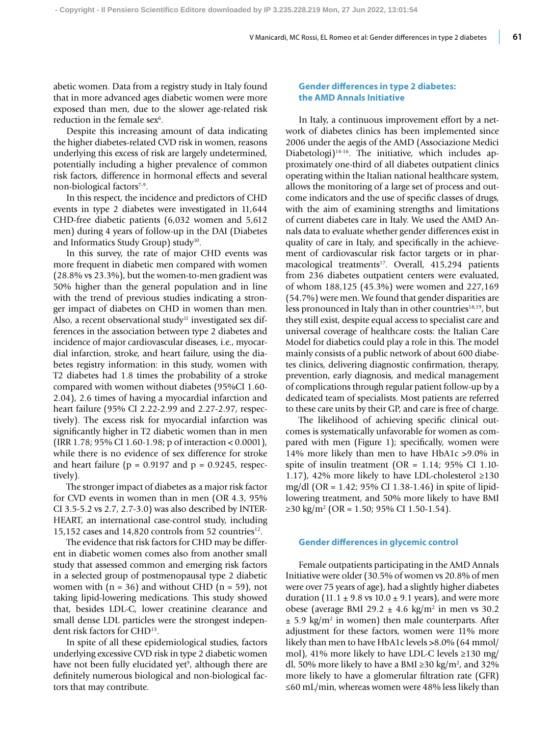abetic women. Data from a registry study in Italy found that in more advanced ages diabetic women were more exposed than men, due to the slower age-related risk reduction in the female sex<sup>6</sup>.

Despite this increasing amount of data indicating the higher diabetes-related CVD risk in women, reasons underlying this excess of risk are largely undetermined, potentially including a higher prevalence of common risk factors, difference in hormonal effects and several non-biological factors<sup>7-9</sup>.

In this respect, the incidence and predictors of CHD events in type 2 diabetes were investigated in 11,644 CHD-free diabetic patients (6,032 women and 5,612 men) during 4 years of follow-up in the DAI (Diabetes and Informatics Study Group) study<sup>10</sup>.

In this survey, the rate of major CHD events was more frequent in diabetic men compared with women (28.8% vs 23.3%), but the women-to-men gradient was 50% higher than the general population and in line with the trend of previous studies indicating a stronger impact of diabetes on CHD in women than men. Also, a recent observational study<sup>11</sup> investigated sex differences in the association between type 2 diabetes and incidence of major cardiovascular diseases, i.e., myocardial infarction, stroke, and heart failure, using the diabetes registry information: in this study, women with T2 diabetes had 1.8 times the probability of a stroke compared with women without diabetes (95%CI 1.60- 2.04), 2.6 times of having a myocardial infarction and heart failure (95% CI 2.22-2.99 and 2.27-2.97, respectively). The excess risk for myocardial infarction was significantly higher in T2 diabetic women than in men (IRR 1.78; 95% CI 1.60-1.98; p of interaction < 0.0001), while there is no evidence of sex difference for stroke and heart failure ( $p = 0.9197$  and  $p = 0.9245$ , respectively).

The stronger impact of diabetes as a major risk factor for CVD events in women than in men (OR 4.3, 95% CI 3.5-5.2 vs 2.7, 2.7-3.0) was also described by INTER-HEART, an international case-control study, including 15,152 cases and 14,820 controls from 52 countries<sup>12</sup>.

The evidence that risk factors for CHD may be different in diabetic women comes also from another small study that assessed common and emerging risk factors in a selected group of postmenopausal type 2 diabetic women with  $(n = 36)$  and without CHD  $(n = 59)$ , not taking lipid-lowering medications. This study showed that, besides LDL-C, lower creatinine clearance and small dense LDL particles were the strongest independent risk factors for CHD13.

In spite of all these epidemiological studies, factors underlying excessive CVD risk in type 2 diabetic women have not been fully elucidated yet<sup>9</sup>, although there are definitely numerous biological and non-biological factors that may contribute.

# **Gender differences in type 2 diabetes: the AMD Annals Initiative**

In Italy, a continuous improvement effort by a network of diabetes clinics has been implemented since 2006 under the aegis of the AMD (Associazione Medici Diabetologi)<sup>14-16</sup>. The initiative, which includes approximately one-third of all diabetes outpatient clinics operating within the Italian national healthcare system, allows the monitoring of a large set of process and outcome indicators and the use of specific classes of drugs, with the aim of examining strengths and limitations of current diabetes care in Italy. We used the AMD Annals data to evaluate whether gender differences exist in quality of care in Italy, and specifically in the achievement of cardiovascular risk factor targets or in pharmacological treatments<sup>17</sup>. Overall, 415,294 patients from 236 diabetes outpatient centers were evaluated, of whom 188,125 (45.3%) were women and 227,169 (54.7%) were men. We found that gender disparities are less pronounced in Italy than in other countries<sup>18,19</sup>, but they still exist, despite equal access to specialist care and universal coverage of healthcare costs: the Italian Care Model for diabetics could play a role in this. The model mainly consists of a public network of about 600 diabetes clinics, delivering diagnostic confirmation, therapy, prevention, early diagnosis, and medical management of complications through regular patient follow-up by a dedicated team of specialists. Most patients are referred to these care units by their GP, and care is free of charge.

The likelihood of achieving specific clinical outcomes is systematically unfavorable for women as compared with men (Figure 1); specifically, women were 14% more likely than men to have HbA1c >9.0% in spite of insulin treatment ( $OR = 1.14$ ; 95% CI 1.10-1.17), 42% more likely to have LDL-cholesterol ≥130 mg/dl (OR = 1.42; 95% CI 1.38-1.46) in spite of lipidlowering treatment, and 50% more likely to have BMI ≥30 kg/m2 (OR = 1.50; 95% CI 1.50-1.54).

#### **Gender differences in glycemic control**

Female outpatients participating in the AMD Annals Initiative were older (30.5% of women vs 20.8% of men were over 75 years of age), had a slightly higher diabetes duration (11.1  $\pm$  9.8 vs 10.0  $\pm$  9.1 years), and were more obese (average BMI 29.2  $\pm$  4.6 kg/m<sup>2</sup> in men vs 30.2  $\pm$  5.9 kg/m<sup>2</sup> in women) then male counterparts. After adjustment for these factors, women were 11% more likely than men to have HbA1c levels >8.0% (64 mmol/ mol), 41% more likely to have LDL-C levels ≥130 mg/ dl, 50% more likely to have a BMI ≥30 kg/m<sup>2</sup>, and 32% more likely to have a glomerular filtration rate (GFR) ≤60 mL/min, whereas women were 48% less likely than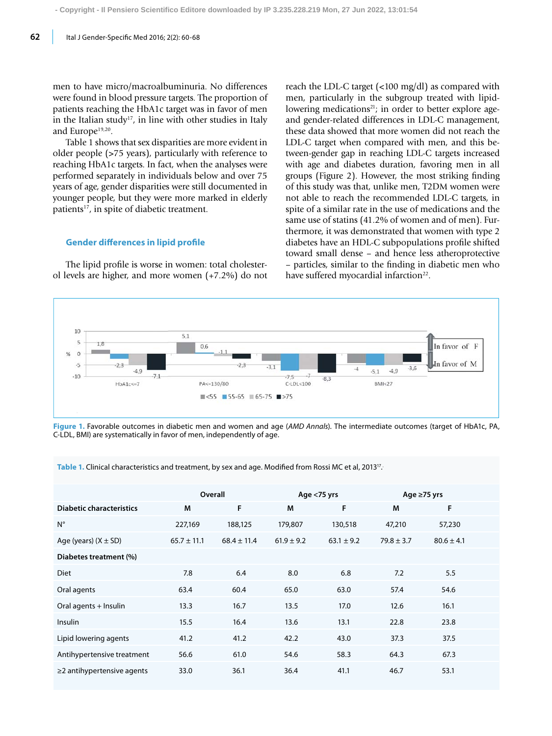men to have micro/macroalbuminuria. No differences were found in blood pressure targets. The proportion of patients reaching the HbA1c target was in favor of men in the Italian study<sup>17</sup>, in line with other studies in Italy and Europe<sup>19,20</sup>.

Table 1 shows that sex disparities are more evident in older people (>75 years), particularly with reference to reaching HbA1c targets. In fact, when the analyses were performed separately in individuals below and over 75 years of age, gender disparities were still documented in younger people, but they were more marked in elderly patients<sup>17</sup>, in spite of diabetic treatment.

#### **Gender differences in lipid profile**

The lipid profile is worse in women: total cholesterol levels are higher, and more women (+7.2%) do not reach the LDL-C target (<100 mg/dl) as compared with men, particularly in the subgroup treated with lipidlowering medications<sup>21</sup>; in order to better explore ageand gender-related differences in LDL-C management, these data showed that more women did not reach the LDL-C target when compared with men, and this between-gender gap in reaching LDL-C targets increased with age and diabetes duration, favoring men in all groups (Figure 2). However, the most striking finding of this study was that, unlike men, T2DM women were not able to reach the recommended LDL-C targets, in spite of a similar rate in the use of medications and the same use of statins (41.2% of women and of men). Furthermore, it was demonstrated that women with type 2 diabetes have an HDL-C subpopulations profile shifted toward small dense – and hence less atheroprotective – particles, similar to the finding in diabetic men who have suffered myocardial infarction<sup>22</sup>.



**Figure 1.** Favorable outcomes in diabetic men and women and age (AMD Annals). The intermediate outcomes (target of HbA1c, PA, C-LDL, BMI) are systematically in favor of men, independently of age.

Table 1. Clinical characteristics and treatment, by sex and age. Modified from Rossi MC et al, 2013<sup>17</sup>.

|                                  | Overall         |                 | Age <75 yrs    |                | Age ≥75 yrs    |                |  |
|----------------------------------|-----------------|-----------------|----------------|----------------|----------------|----------------|--|
| <b>Diabetic characteristics</b>  | M               | F               | M              | F              | M              | F              |  |
| $N^{\circ}$                      | 227,169         | 188,125         | 179,807        | 130,518        | 47,210         | 57,230         |  |
| Age (years) $(X \pm SD)$         | $65.7 \pm 11.1$ | $68.4 \pm 11.4$ | $61.9 \pm 9.2$ | $63.1 \pm 9.2$ | $79.8 \pm 3.7$ | $80.6 \pm 4.1$ |  |
| Diabetes treatment (%)           |                 |                 |                |                |                |                |  |
| <b>Diet</b>                      | 7.8             | 6.4             | 8.0            | 6.8            | 7.2            | 5.5            |  |
| Oral agents                      | 63.4            | 60.4            | 65.0           | 63.0           | 57.4           | 54.6           |  |
| Oral agents + Insulin            | 13.3            | 16.7            | 13.5           | 17.0           | 12.6           | 16.1           |  |
| Insulin                          | 15.5            | 16.4            | 13.6           | 13.1           | 22.8           | 23.8           |  |
| Lipid lowering agents            | 41.2            | 41.2            | 42.2           | 43.0           | 37.3           | 37.5           |  |
| Antihypertensive treatment       | 56.6            | 61.0            | 54.6           | 58.3           | 64.3           | 67.3           |  |
| $\geq$ 2 antihypertensive agents | 33.0            | 36.1            | 36.4           | 41.1           | 46.7           | 53.1           |  |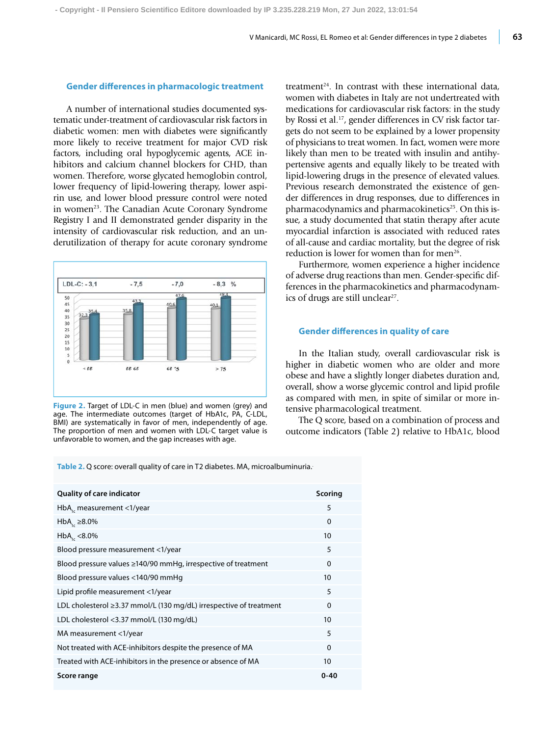### **Gender differences in pharmacologic treatment**

A number of international studies documented systematic under-treatment of cardiovascular risk factors in diabetic women: men with diabetes were significantly more likely to receive treatment for major CVD risk factors, including oral hypoglycemic agents, ACE inhibitors and calcium channel blockers for CHD, than women. Therefore, worse glycated hemoglobin control, lower frequency of lipid-lowering therapy, lower aspirin use, and lower blood pressure control were noted in women<sup>23</sup>. The Canadian Acute Coronary Syndrome Registry I and II demonstrated gender disparity in the intensity of cardiovascular risk reduction, and an underutilization of therapy for acute coronary syndrome



**Figure 2.** Target of LDL-C in men (blue) and women (grey) and age. The intermediate outcomes (target of HbA1c, PA, C-LDL, BMI) are systematically in favor of men, independently of age. The proportion of men and women with LDL-C target value is unfavorable to women, and the gap increases with age.

treatment $24$ . In contrast with these international data, women with diabetes in Italy are not undertreated with medications for cardiovascular risk factors: in the study by Rossi et al.17, gender differences in CV risk factor targets do not seem to be explained by a lower propensity of physicians to treat women. In fact, women were more likely than men to be treated with insulin and antihypertensive agents and equally likely to be treated with lipid-lowering drugs in the presence of elevated values. Previous research demonstrated the existence of gender differences in drug responses, due to differences in pharmacodynamics and pharmacokinetics<sup>25</sup>. On this issue, a study documented that statin therapy after acute myocardial infarction is associated with reduced rates of all-cause and cardiac mortality, but the degree of risk reduction is lower for women than for men<sup>26</sup>.

Furthermore, women experience a higher incidence of adverse drug reactions than men. Gender-specific differences in the pharmacokinetics and pharmacodynamics of drugs are still unclear<sup>27</sup>.

## **Gender differences in quality of care**

In the Italian study, overall cardiovascular risk is higher in diabetic women who are older and more obese and have a slightly longer diabetes duration and, overall, show a worse glycemic control and lipid profile as compared with men, in spite of similar or more intensive pharmacological treatment.

The Q score, based on a combination of process and outcome indicators (Table 2) relative to HbA1c, blood

**Table 2.** Q score: overall quality of care in T2 diabetes. MA, microalbuminuria..

| <b>Quality of care indicator</b>                                         | <b>Scoring</b>   |
|--------------------------------------------------------------------------|------------------|
| $HbA1$ , measurement <1/year                                             | 5                |
| $HbAc \geq 8.0\%$                                                        | $\Omega$         |
| $HbA_{1c}$ <8.0%                                                         | 10               |
| Blood pressure measurement <1/year                                       | 5                |
| Blood pressure values ≥140/90 mmHq, irrespective of treatment            | $\Omega$         |
| Blood pressure values <140/90 mmHg                                       | 10               |
| Lipid profile measurement <1/year                                        | 5                |
| LDL cholesterol $\geq$ 3.37 mmol/L (130 mg/dL) irrespective of treatment | $\Omega$         |
| LDL cholesterol <3.37 mmol/L (130 mg/dL)                                 | 10 <sup>10</sup> |
| MA measurement <1/year                                                   | 5                |
| Not treated with ACE-inhibitors despite the presence of MA               | $\Omega$         |
| Treated with ACE-inhibitors in the presence or absence of MA             | 10               |
| Score range                                                              | 0-40             |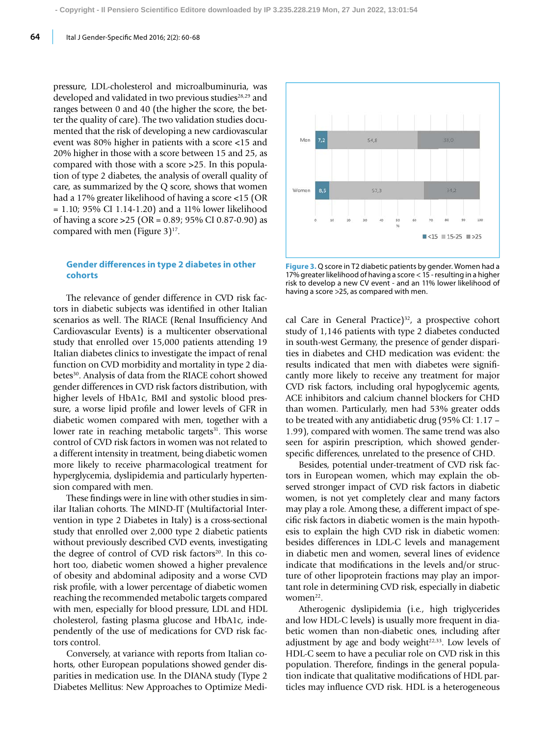pressure, LDL-cholesterol and microalbuminuria, was developed and validated in two previous studies<sup>28,29</sup> and ranges between 0 and 40 (the higher the score, the better the quality of care). The two validation studies documented that the risk of developing a new cardiovascular event was 80% higher in patients with a score <15 and 20% higher in those with a score between 15 and 25, as compared with those with a score >25. In this population of type 2 diabetes, the analysis of overall quality of care, as summarized by the Q score, shows that women had a 17% greater likelihood of having a score <15 (OR = 1.10; 95% CI 1.14-1.20) and a 11% lower likelihood of having a score >25 (OR = 0.89; 95% CI 0.87-0.90) as compared with men (Figure  $3$ )<sup>17</sup>.

## **Gender differences in type 2 diabetes in other cohorts**

The relevance of gender difference in CVD risk factors in diabetic subjects was identified in other Italian scenarios as well. The RIACE (Renal Insufficiency And Cardiovascular Events) is a multicenter observational study that enrolled over 15,000 patients attending 19 Italian diabetes clinics to investigate the impact of renal function on CVD morbidity and mortality in type 2 diabetes<sup>30</sup>. Analysis of data from the RIACE cohort showed gender differences in CVD risk factors distribution, with higher levels of HbA1c, BMI and systolic blood pressure, a worse lipid profile and lower levels of GFR in diabetic women compared with men, together with a lower rate in reaching metabolic targets<sup>31</sup>. This worse control of CVD risk factors in women was not related to a different intensity in treatment, being diabetic women more likely to receive pharmacological treatment for hyperglycemia, dyslipidemia and particularly hypertension compared with men.

These findings were in line with other studies in similar Italian cohorts. The MIND-IT (Multifactorial Intervention in type 2 Diabetes in Italy) is a cross-sectional study that enrolled over 2,000 type 2 diabetic patients without previously described CVD events, investigating the degree of control of CVD risk factors<sup>20</sup>. In this cohort too, diabetic women showed a higher prevalence of obesity and abdominal adiposity and a worse CVD risk profile, with a lower percentage of diabetic women reaching the recommended metabolic targets compared with men, especially for blood pressure, LDL and HDL cholesterol, fasting plasma glucose and HbA1c, independently of the use of medications for CVD risk factors control.

Conversely, at variance with reports from Italian cohorts, other European populations showed gender disparities in medication use. In the DIANA study (Type 2 Diabetes Mellitus: New Approaches to Optimize Medi-



**Figure 3.** Q score in T2 diabetic patients by gender. Women had a 17% greater likelihood of having a score < 15 - resulting in a higher risk to develop a new CV event - and an 11% lower likelihood of having a score >25, as compared with men.

cal Care in General Practice)<sup>32</sup>, a prospective cohort study of 1,146 patients with type 2 diabetes conducted in south-west Germany, the presence of gender disparities in diabetes and CHD medication was evident: the results indicated that men with diabetes were significantly more likely to receive any treatment for major CVD risk factors, including oral hypoglycemic agents, ACE inhibitors and calcium channel blockers for CHD than women. Particularly, men had 53% greater odds to be treated with any antidiabetic drug (95% CI: 1.17 – 1.99), compared with women. The same trend was also seen for aspirin prescription, which showed genderspecific differences, unrelated to the presence of CHD.

Besides, potential under-treatment of CVD risk factors in European women, which may explain the observed stronger impact of CVD risk factors in diabetic women, is not yet completely clear and many factors may play a role. Among these, a different impact of specific risk factors in diabetic women is the main hypothesis to explain the high CVD risk in diabetic women: besides differences in LDL-C levels and management in diabetic men and women, several lines of evidence indicate that modifications in the levels and/or structure of other lipoprotein fractions may play an important role in determining CVD risk, especially in diabetic women<sup>22</sup>.

Atherogenic dyslipidemia (i.e., high triglycerides and low HDL-C levels) is usually more frequent in diabetic women than non-diabetic ones, including after adjustment by age and body weight $22,33$ . Low levels of HDL-C seem to have a peculiar role on CVD risk in this population. Therefore, findings in the general population indicate that qualitative modifications of HDL particles may influence CVD risk. HDL is a heterogeneous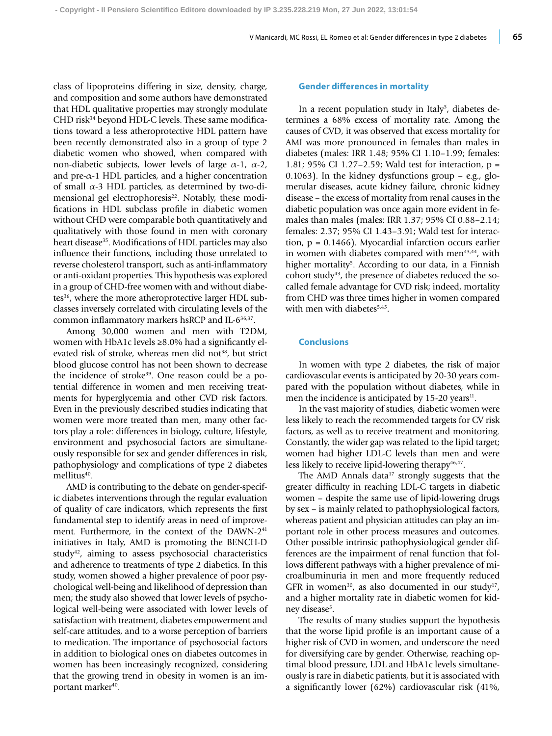class of lipoproteins differing in size, density, charge, and composition and some authors have demonstrated that HDL qualitative properties may strongly modulate CHD risk<sup>34</sup> beyond HDL-C levels. These same modifications toward a less atheroprotective HDL pattern have been recently demonstrated also in a group of type 2 diabetic women who showed, when compared with non-diabetic subjects, lower levels of large α-1, α-2, and pre- $\alpha$ -1 HDL particles, and a higher concentration of small  $\alpha$ -3 HDL particles, as determined by two-dimensional gel electrophoresis<sup>22</sup>. Notably, these modifications in HDL subclass profile in diabetic women without CHD were comparable both quantitatively and qualitatively with those found in men with coronary heart disease<sup>35</sup>. Modifications of HDL particles may also influence their functions, including those unrelated to reverse cholesterol transport, such as anti-inflammatory or anti-oxidant properties. This hypothesis was explored in a group of CHD-free women with and without diabetes<sup>36</sup>, where the more atheroprotective larger HDL subclasses inversely correlated with circulating levels of the common inflammatory markers hsRCP and IL-6<sup>36,37</sup>.

Among 30,000 women and men with T2DM, women with HbA1c levels  $\geq 8.0\%$  had a significantly elevated risk of stroke, whereas men did not<sup>38</sup>, but strict blood glucose control has not been shown to decrease the incidence of stroke<sup>39</sup>. One reason could be a potential difference in women and men receiving treatments for hyperglycemia and other CVD risk factors. Even in the previously described studies indicating that women were more treated than men, many other factors play a role: differences in biology, culture, lifestyle, environment and psychosocial factors are simultaneously responsible for sex and gender differences in risk, pathophysiology and complications of type 2 diabetes mellitus<sup>40</sup>.

AMD is contributing to the debate on gender-specific diabetes interventions through the regular evaluation of quality of care indicators, which represents the first fundamental step to identify areas in need of improvement. Furthermore, in the context of the DAWN-2<sup>41</sup> initiatives in Italy, AMD is promoting the BENCH-D study<sup>42</sup>, aiming to assess psychosocial characteristics and adherence to treatments of type 2 diabetics. In this study, women showed a higher prevalence of poor psychological well-being and likelihood of depression than men; the study also showed that lower levels of psychological well-being were associated with lower levels of satisfaction with treatment, diabetes empowerment and self-care attitudes, and to a worse perception of barriers to medication. The importance of psychosocial factors in addition to biological ones on diabetes outcomes in women has been increasingly recognized, considering that the growing trend in obesity in women is an important marker<sup>40</sup>.

#### **Gender differences in mortality**

In a recent population study in Italy<sup>5</sup>, diabetes determines a 68% excess of mortality rate. Among the causes of CVD, it was observed that excess mortality for AMI was more pronounced in females than males in diabetes (males: IRR 1.48; 95% CI 1.10–1.99; females: 1.81; 95% CI 1.27–2.59; Wald test for interaction, p = 0.1063). In the kidney dysfunctions group  $-$  e.g., glomerular diseases, acute kidney failure, chronic kidney disease – the excess of mortality from renal causes in the diabetic population was once again more evident in females than males (males: IRR 1.37; 95% CI 0.88–2.14; females: 2.37; 95% CI 1.43–3.91; Wald test for interaction, p = 0.1466). Myocardial infarction occurs earlier in women with diabetes compared with men<sup>43,44</sup>, with higher mortality<sup>5</sup>. According to our data, in a Finnish cohort study<sup>43</sup>, the presence of diabetes reduced the socalled female advantage for CVD risk; indeed, mortality from CHD was three times higher in women compared with men with diabetes<sup>5,45</sup>.

## **Conclusions**

In women with type 2 diabetes, the risk of major cardiovascular events is anticipated by 20-30 years compared with the population without diabetes, while in men the incidence is anticipated by 15-20 years<sup>11</sup>.

In the vast majority of studies, diabetic women were less likely to reach the recommended targets for CV risk factors, as well as to receive treatment and monitoring. Constantly, the wider gap was related to the lipid target; women had higher LDL-C levels than men and were less likely to receive lipid-lowering therapy<sup>46,47</sup>.

The AMD Annals data $17$  strongly suggests that the greater difficulty in reaching LDL-C targets in diabetic women – despite the same use of lipid-lowering drugs by sex – is mainly related to pathophysiological factors, whereas patient and physician attitudes can play an important role in other process measures and outcomes. Other possible intrinsic pathophysiological gender differences are the impairment of renal function that follows different pathways with a higher prevalence of microalbuminuria in men and more frequently reduced GFR in women<sup>30</sup>, as also documented in our study<sup>17</sup>, and a higher mortality rate in diabetic women for kidney disease<sup>5</sup>.

The results of many studies support the hypothesis that the worse lipid profile is an important cause of a higher risk of CVD in women, and underscore the need for diversifying care by gender. Otherwise, reaching optimal blood pressure, LDL and HbA1c levels simultaneously is rare in diabetic patients, but it is associated with a significantly lower (62%) cardiovascular risk (41%,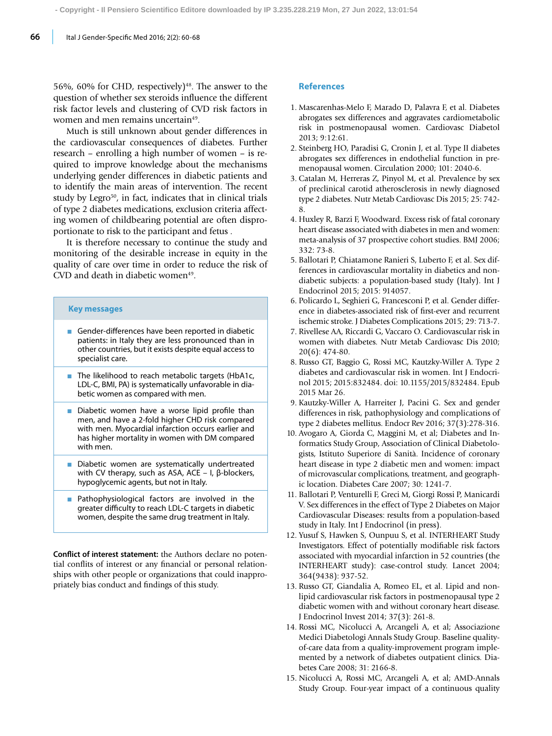56%, 60% for CHD, respectively)<sup>48</sup>. The answer to the question of whether sex steroids influence the different risk factor levels and clustering of CVD risk factors in women and men remains uncertain<sup>49</sup>.

Much is still unknown about gender differences in the cardiovascular consequences of diabetes. Further research – enrolling a high number of women – is required to improve knowledge about the mechanisms underlying gender differences in diabetic patients and to identify the main areas of intervention. The recent study by Legro<sup>50</sup>, in fact, indicates that in clinical trials of type 2 diabetes medications, exclusion criteria affecting women of childbearing potential are often disproportionate to risk to the participant and fetus .

It is therefore necessary to continue the study and monitoring of the desirable increase in equity in the quality of care over time in order to reduce the risk of CVD and death in diabetic women<sup>49</sup>.

# **Key messages**

- Gender-differences have been reported in diabetic patients: in Italy they are less pronounced than in other countries, but it exists despite equal access to specialist care.
- The likelihood to reach metabolic targets (HbA1c, LDL-C, BMI, PA) is systematically unfavorable in diabetic women as compared with men.
- $\blacksquare$  Diabetic women have a worse lipid profile than men, and have a 2-fold higher CHD risk compared with men. Myocardial infarction occurs earlier and has higher mortality in women with DM compared with men.
- Diabetic women are systematically undertreated with CV therapy, such as ASA, ACE – I, β-blockers, hypoglycemic agents, but not in Italy.
- Pathophysiological factors are involved in the greater difficulty to reach LDL-C targets in diabetic women, despite the same drug treatment in Italy.

**Conflict of interest statement:** the Authors declare no potential conflits of interest or any financial or personal relationships with other people or organizations that could inappropriately bias conduct and findings of this study.

#### **References**

- 1. Mascarenhas-Melo F, Marado D, Palavra F, et al. Diabetes abrogates sex differences and aggravates cardiometabolic risk in postmenopausal women. Cardiovasc Diabetol 2013; 9:12:61.
- 2. Steinberg HO, Paradisi G, Cronin J, et al. Type II diabetes abrogates sex differences in endothelial function in premenopausal women. Circulation 2000; 101: 2040-6.
- 3. Catalan M, Herreras Z, Pinyol M, et al. Prevalence by sex of preclinical carotid atherosclerosis in newly diagnosed type 2 diabetes. Nutr Metab Cardiovasc Dis 2015; 25: 742- 8.
- 4. Huxley R, Barzi F, Woodward. Excess risk of fatal coronary heart disease associated with diabetes in men and women: meta-analysis of 37 prospective cohort studies. BMJ 2006; 332: 73-8.
- 5. Ballotari P, Chiatamone Ranieri S, Luberto F, et al. Sex differences in cardiovascular mortality in diabetics and nondiabetic subjects: a population-based study (Italy). Int J Endocrinol 2015; 2015: 914057.
- 6. Policardo L, Seghieri G, Francesconi P, et al. Gender difference in diabetes-associated risk of first-ever and recurrent ischemic stroke. J Diabetes Complications 2015; 29: 713-7.
- 7. Rivellese AA, Riccardi G, Vaccaro O. Cardiovascular risk in women with diabetes. Nutr Metab Cardiovasc Dis 2010; 20(6): 474-80.
- 8. Russo GT, Baggio G, Rossi MC, Kautzky-Willer A. Type 2 diabetes and cardiovascular risk in women. Int J Endocrinol 2015; 2015:832484. doi: 10.1155/2015/832484. Epub 2015 Mar 26.
- 9. Kautzky-Willer A, Harreiter J, Pacini G. Sex and gender differences in risk, pathophysiology and complications of type 2 diabetes mellitus. Endocr Rev 2016; 37(3):278-316.
- 10. Avogaro A, Giorda C, Maggini M, et al; Diabetes and Informatics Study Group, Association of Clinical Diabetologists, Istituto Superiore di Sanità. Incidence of coronary heart disease in type 2 diabetic men and women: impact of microvascular complications, treatment, and geographic location. Diabetes Care 2007; 30: 1241-7.
- 11. Ballotari P, Venturelli F, Greci M, Giorgi Rossi P, Manicardi V. Sex differences in the effect of Type 2 Diabetes on Major Cardiovascular Diseases: results from a population-based study in Italy. Int J Endocrinol (in press).
- 12. Yusuf S, Hawken S, Ounpuu S, et al. INTERHEART Study Investigators. Effect of potentially modifiable risk factors associated with myocardial infarction in 52 countries (the INTERHEART study): case-control study. Lancet 2004; 364(9438): 937-52.
- 13. Russo GT, Giandalia A, Romeo EL, et al. Lipid and nonlipid cardiovascular risk factors in postmenopausal type 2 diabetic women with and without coronary heart disease. J Endocrinol Invest 2014; 37(3): 261-8.
- 14. Rossi MC, Nicolucci A, Arcangeli A, et al; Associazione Medici Diabetologi Annals Study Group. Baseline qualityof-care data from a quality-improvement program implemented by a network of diabetes outpatient clinics. Diabetes Care 2008; 31: 2166-8.
- 15. Nicolucci A, Rossi MC, Arcangeli A, et al; AMD-Annals Study Group. Four-year impact of a continuous quality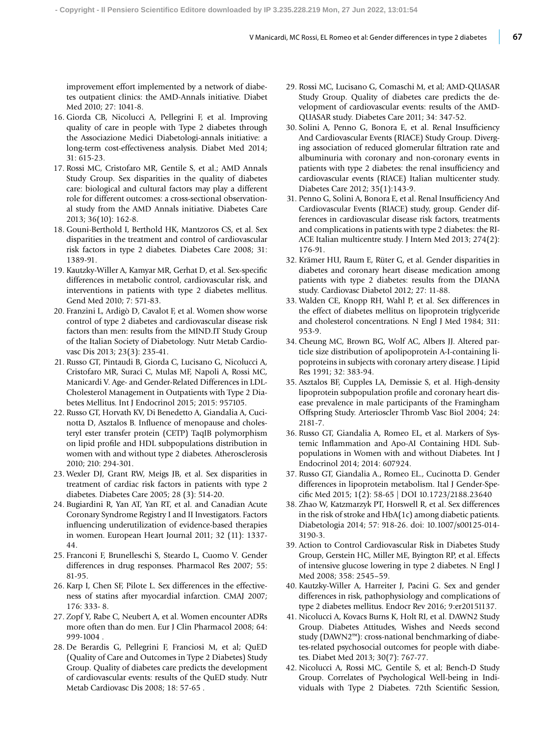improvement effort implemented by a network of diabetes outpatient clinics: the AMD-Annals initiative. Diabet Med 2010; 27: 1041-8.

- 16. Giorda CB, Nicolucci A, Pellegrini F, et al. Improving quality of care in people with Type 2 diabetes through the Associazione Medici Diabetologi-annals initiative: a long-term cost-effectiveness analysis. Diabet Med 2014; 31: 615-23.
- 17. Rossi MC, Cristofaro MR, Gentile S, et al.; AMD Annals Study Group. Sex disparities in the quality of diabetes care: biological and cultural factors may play a different role for different outcomes: a cross-sectional observational study from the AMD Annals initiative. Diabetes Care 2013; 36(10): 162-8.
- 18. Gouni-Berthold I, Berthold HK, Mantzoros CS, et al. Sex disparities in the treatment and control of cardiovascular risk factors in type 2 diabetes. Diabetes Care 2008; 31: 1389-91.
- 19. Kautzky-Willer A, Kamyar MR, Gerhat D, et al. Sex-specific differences in metabolic control, cardiovascular risk, and interventions in patients with type 2 diabetes mellitus. Gend Med 2010; 7: 571-83.
- 20. Franzini L, Ardigò D, Cavalot F, et al. Women show worse control of type 2 diabetes and cardiovascular disease risk factors than men: results from the MIND.IT Study Group of the Italian Society of Diabetology. Nutr Metab Cardiovasc Dis 2013; 23(3): 235-41.
- 21. Russo GT, Pintaudi B, Giorda C, Lucisano G, Nicolucci A, Cristofaro MR, Suraci C, Mulas MF, Napoli A, Rossi MC, Manicardi V. Age- and Gender-Related Differences in LDL-Cholesterol Management in Outpatients with Type 2 Diabetes Mellitus. Int J Endocrinol 2015; 2015: 957105.
- 22. Russo GT, Horvath KV, Di Benedetto A, Giandalia A, Cucinotta D, Asztalos B. Influence of menopause and cholesteryl ester transfer protein (CETP) TaqIB polymorphism on lipid profile and HDL subpopulations distribution in women with and without type 2 diabetes. Atherosclerosis 2010; 210: 294-301.
- 23. Wexler DJ, Grant RW, Meigs JB, et al. Sex disparities in treatment of cardiac risk factors in patients with type 2 diabetes. Diabetes Care 2005; 28 (3): 514-20.
- 24. Bugiardini R, Yan AT, Yan RT, et al. and Canadian Acute Coronary Syndrome Registry I and II Investigators. Factors influencing underutilization of evidence-based therapies in women. European Heart Journal 2011; 32 (11): 1337- 44.
- 25. Franconi F, Brunelleschi S, Steardo L, Cuomo V. Gender differences in drug responses. Pharmacol Res 2007; 55: 81-95.
- 26. Karp I, Chen SF, Pilote L. Sex differences in the effectiveness of statins after myocardial infarction. CMAJ 2007; 176: 333- 8.
- 27. Zopf Y, Rabe C, Neubert A, et al. Women encounter ADRs more often than do men. Eur J Clin Pharmacol 2008; 64: 999-1004 .
- 28. De Berardis G, Pellegrini F, Franciosi M, et al; QuED (Quality of Care and Outcomes in Type 2 Diabetes) Study Group. Quality of diabetes care predicts the development of cardiovascular events: results of the QuED study. Nutr Metab Cardiovasc Dis 2008; 18: 57-65 .
- 29. Rossi MC, Lucisano G, Comaschi M, et al; AMD-QUASAR Study Group. Quality of diabetes care predicts the development of cardiovascular events: results of the AMD-QUASAR study. Diabetes Care 2011; 34: 347-52.
- 30. Solini A, Penno G, Bonora E, et al. Renal Insufficiency And Cardiovascular Events (RIACE) Study Group. Diverging association of reduced glomerular filtration rate and albuminuria with coronary and non-coronary events in patients with type 2 diabetes: the renal insufficiency and cardiovascular events (RIACE) Italian multicenter study. Diabetes Care 2012; 35(1):143-9.
- 31. Penno G, Solini A, Bonora E, et al. Renal Insufficiency And Cardiovascular Events (RIACE) study, group. Gender differences in cardiovascular disease risk factors, treatments and complications in patients with type 2 diabetes: the RI-ACE Italian multicentre study. J Intern Med 2013; 274(2): 176-91.
- 32. Krämer HU, Raum E, Rüter G, et al. Gender disparities in diabetes and coronary heart disease medication among patients with type 2 diabetes: results from the DIANA study. Cardiovasc Diabetol 2012; 27: 11-88.
- 33. Walden CE, Knopp RH, Wahl P, et al. Sex differences in the effect of diabetes mellitus on lipoprotein triglyceride and cholesterol concentrations. N Engl J Med 1984; 311: 953-9.
- 34. Cheung MC, Brown BG, Wolf AC, Albers JJ. Altered particle size distribution of apolipoprotein A-I-containing lipoproteins in subjects with coronary artery disease. J Lipid Res 1991; 32: 383-94.
- 35. Asztalos BF, Cupples LA, Demissie S, et al. High-density lipoprotein subpopulation profile and coronary heart disease prevalence in male participants of the Framingham Offspring Study. Arterioscler Thromb Vasc Biol 2004; 24: 2181-7.
- 36. Russo GT, Giandalia A, Romeo EL, et al. Markers of Systemic Inflammation and Apo-AI Containing HDL Subpopulations in Women with and without Diabetes. Int J Endocrinol 2014; 2014: 607924.
- 37. Russo GT, Giandalia A., Romeo EL., Cucinotta D. Gender differences in lipoprotein metabolism. Ital J Gender-Specific Med 2015; 1(2): 58-65 | DOI 10.1723/2188.23640
- 38. Zhao W, Katzmarzyk PT, Horswell R, et al. Sex differences in the risk of stroke and HbA(1c) among diabetic patients. Diabetologia 2014; 57: 918-26. doi: 10.1007/s00125-014- 3190-3.
- 39. Action to Control Cardiovascular Risk in Diabetes Study Group, Gerstein HC, Miller ME, Byington RP, et al. Effects of intensive glucose lowering in type 2 diabetes. N Engl J Med 2008; 358: 2545–59.
- 40. Kautzky-Willer A, Harreiter J, Pacini G. Sex and gender differences in risk, pathophysiology and complications of type 2 diabetes mellitus. Endocr Rev 2016; 9:er20151137.
- 41. Nicolucci A, Kovacs Burns K, Holt RI, et al. DAWN2 Study Group. Diabetes Attitudes, Wishes and Needs second study (DAWN2™): cross-national benchmarking of diabetes-related psychosocial outcomes for people with diabetes. Diabet Med 2013; 30(7): 767-77.
- 42. Nicolucci A, Rossi MC, Gentile S, et al; Bench-D Study Group. Correlates of Psychological Well-being in Individuals with Type 2 Diabetes. 72th Scientific Session,